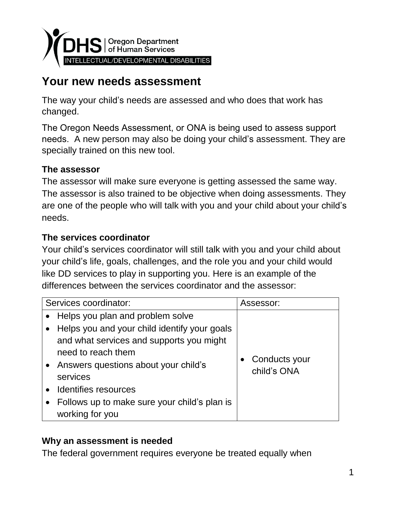

# **Your new needs assessment**

The way your child's needs are assessed and who does that work has changed.

The Oregon Needs Assessment, or ONA is being used to assess support needs. A new person may also be doing your child's assessment. They are specially trained on this new tool.

### **The assessor**

The assessor will make sure everyone is getting assessed the same way. The assessor is also trained to be objective when doing assessments. They are one of the people who will talk with you and your child about your child's needs.

### **The services coordinator**

Your child's services coordinator will still talk with you and your child about your child's life, goals, challenges, and the role you and your child would like DD services to play in supporting you. Here is an example of the differences between the services coordinator and the assessor:

| Services coordinator: |                                                                                                                                                                                                                                      | Assessor:                    |
|-----------------------|--------------------------------------------------------------------------------------------------------------------------------------------------------------------------------------------------------------------------------------|------------------------------|
|                       | • Helps you plan and problem solve<br>• Helps you and your child identify your goals<br>and what services and supports you might<br>need to reach them<br>• Answers questions about your child's<br>services<br>Identifies resources | Conducts your<br>child's ONA |
|                       | Follows up to make sure your child's plan is<br>working for you                                                                                                                                                                      |                              |

### **Why an assessment is needed**

The federal government requires everyone be treated equally when